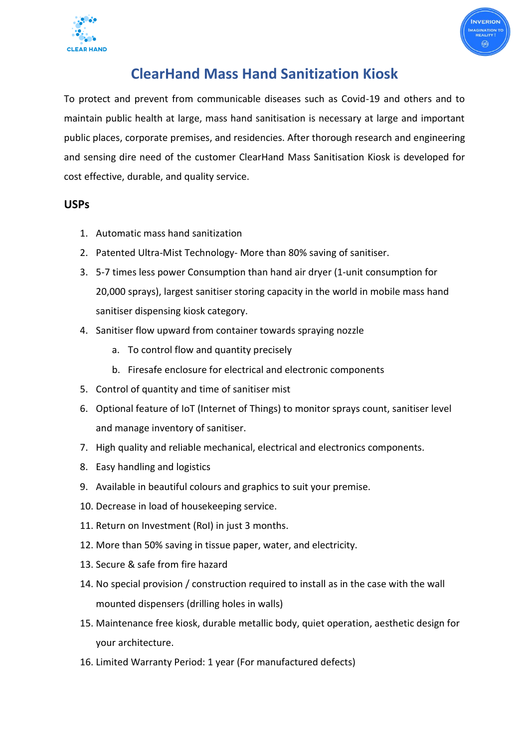



# **ClearHand Mass Hand Sanitization Kiosk**

To protect and prevent from communicable diseases such as Covid-19 and others and to maintain public health at large, mass hand sanitisation is necessary at large and important public places, corporate premises, and residencies. After thorough research and engineering and sensing dire need of the customer ClearHand Mass Sanitisation Kiosk is developed for cost effective, durable, and quality service.

### **USPs**

- 1. Automatic mass hand sanitization
- 2. Patented Ultra-Mist Technology- More than 80% saving of sanitiser.
- 3. 5-7 times less power Consumption than hand air dryer (1-unit consumption for 20,000 sprays), largest sanitiser storing capacity in the world in mobile mass hand sanitiser dispensing kiosk category.
- 4. Sanitiser flow upward from container towards spraying nozzle
	- a. To control flow and quantity precisely
	- b. Firesafe enclosure for electrical and electronic components
- 5. Control of quantity and time of sanitiser mist
- 6. Optional feature of IoT (Internet of Things) to monitor sprays count, sanitiser level and manage inventory of sanitiser.
- 7. High quality and reliable mechanical, electrical and electronics components.
- 8. Easy handling and logistics
- 9. Available in beautiful colours and graphics to suit your premise.
- 10. Decrease in load of housekeeping service.
- 11. Return on Investment (RoI) in just 3 months.
- 12. More than 50% saving in tissue paper, water, and electricity.
- 13. Secure & safe from fire hazard
- 14. No special provision / construction required to install as in the case with the wall mounted dispensers (drilling holes in walls)
- 15. Maintenance free kiosk, durable metallic body, quiet operation, aesthetic design for your architecture.
- 16. Limited Warranty Period: 1 year (For manufactured defects)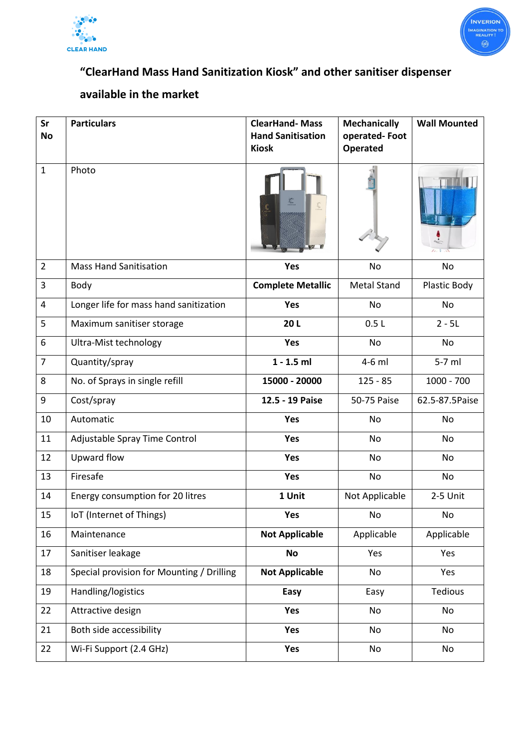



# **"ClearHand Mass Hand Sanitization Kiosk" and other sanitiser dispenser**

## **available in the market**

| Sr                      | <b>Particulars</b>                        | <b>ClearHand-Mass</b>    | <b>Mechanically</b> | <b>Wall Mounted</b> |
|-------------------------|-------------------------------------------|--------------------------|---------------------|---------------------|
| <b>No</b>               |                                           | <b>Hand Sanitisation</b> | operated-Foot       |                     |
|                         |                                           | <b>Kiosk</b>             | <b>Operated</b>     |                     |
| $1\,$                   | Photo                                     |                          |                     |                     |
| $\overline{2}$          | <b>Mass Hand Sanitisation</b>             | Yes                      | No                  | No                  |
| 3                       | Body                                      | <b>Complete Metallic</b> | <b>Metal Stand</b>  | Plastic Body        |
| $\overline{\mathbf{4}}$ | Longer life for mass hand sanitization    | Yes                      | No                  | No                  |
| 5                       | Maximum sanitiser storage                 | 20L                      | 0.5L                | $2 - 5L$            |
| 6                       | Ultra-Mist technology                     | <b>Yes</b>               | No                  | No                  |
| $\overline{7}$          | Quantity/spray                            | $1 - 1.5$ ml             | 4-6 ml              | 5-7 ml              |
| 8                       | No. of Sprays in single refill            | 15000 - 20000            | $125 - 85$          | 1000 - 700          |
| 9                       | Cost/spray                                | 12.5 - 19 Paise          | 50-75 Paise         | 62.5-87.5Paise      |
| 10                      | Automatic                                 | Yes                      | No                  | <b>No</b>           |
| 11                      | Adjustable Spray Time Control             | Yes                      | No                  | No                  |
| 12                      | Upward flow                               | Yes                      | No                  | No                  |
| 13                      | Firesafe                                  | <b>Yes</b>               | No                  | <b>No</b>           |
| 14                      | Energy consumption for 20 litres          | 1 Unit                   | Not Applicable      | 2-5 Unit            |
| 15                      | IoT (Internet of Things)                  | Yes                      | No                  | No                  |
| 16                      | Maintenance                               | <b>Not Applicable</b>    | Applicable          | Applicable          |
| 17                      | Sanitiser leakage                         | <b>No</b>                | Yes                 | Yes                 |
| 18                      | Special provision for Mounting / Drilling | <b>Not Applicable</b>    | No                  | Yes                 |
| 19                      | Handling/logistics                        | Easy                     | Easy                | Tedious             |
| 22                      | Attractive design                         | Yes                      | No                  | No                  |
| 21                      | Both side accessibility                   | Yes                      | No                  | No                  |
| 22                      | Wi-Fi Support (2.4 GHz)                   | Yes                      | No                  | No                  |